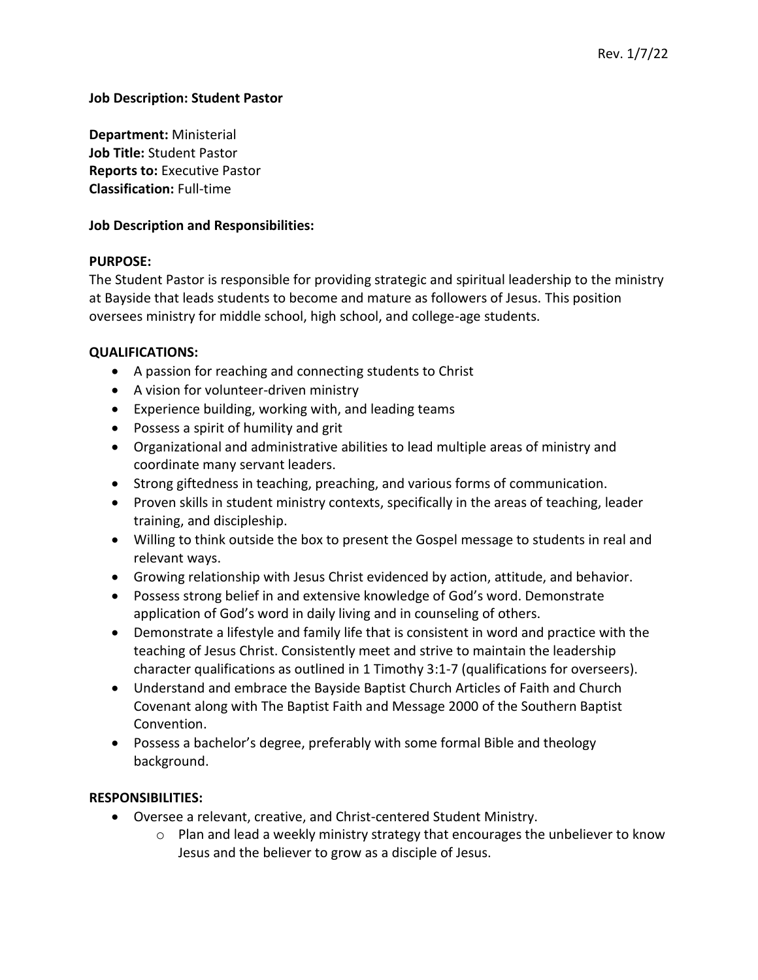# **Job Description: Student Pastor**

**Department:** Ministerial **Job Title:** Student Pastor **Reports to:** Executive Pastor **Classification:** Full-time

# **Job Description and Responsibilities:**

# **PURPOSE:**

The Student Pastor is responsible for providing strategic and spiritual leadership to the ministry at Bayside that leads students to become and mature as followers of Jesus. This position oversees ministry for middle school, high school, and college-age students.

# **QUALIFICATIONS:**

- A passion for reaching and connecting students to Christ
- A vision for volunteer-driven ministry
- Experience building, working with, and leading teams
- Possess a spirit of humility and grit
- Organizational and administrative abilities to lead multiple areas of ministry and coordinate many servant leaders.
- Strong giftedness in teaching, preaching, and various forms of communication.
- Proven skills in student ministry contexts, specifically in the areas of teaching, leader training, and discipleship.
- Willing to think outside the box to present the Gospel message to students in real and relevant ways.
- Growing relationship with Jesus Christ evidenced by action, attitude, and behavior.
- Possess strong belief in and extensive knowledge of God's word. Demonstrate application of God's word in daily living and in counseling of others.
- Demonstrate a lifestyle and family life that is consistent in word and practice with the teaching of Jesus Christ. Consistently meet and strive to maintain the leadership character qualifications as outlined in 1 Timothy 3:1‐7 (qualifications for overseers).
- Understand and embrace the Bayside Baptist Church Articles of Faith and Church Covenant along with The Baptist Faith and Message 2000 of the Southern Baptist Convention.
- Possess a bachelor's degree, preferably with some formal Bible and theology background.

### **RESPONSIBILITIES:**

- Oversee a relevant, creative, and Christ-centered Student Ministry.
	- $\circ$  Plan and lead a weekly ministry strategy that encourages the unbeliever to know Jesus and the believer to grow as a disciple of Jesus.